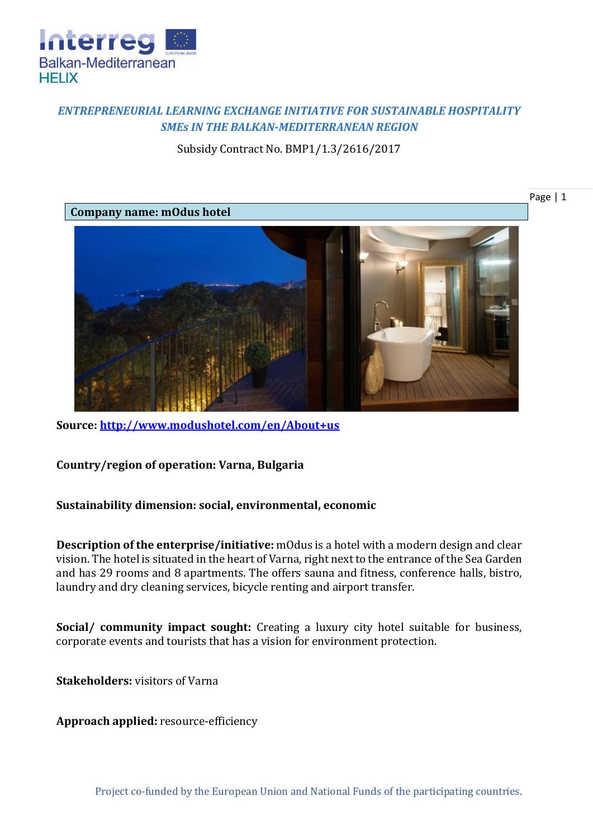

## *ENTREPRENEURIAL LEARNING EXCHANGE INITIATIVE FOR SUSTAINABLE HOSPITALITY SMEs IN THE BALKAN-MEDITERRANEAN REGION*

Subsidy Contract No. BMP1/1.3/2616/2017



**Source:<http://www.modushotel.com/en/About+us>**

**Country/region of operation: Varna, Bulgaria**

## **Sustainability dimension: social, environmental, economic**

**Description of the enterprise/initiative:** mOdus is a hotel with a modern design and clear vision. The hotel is situated in the heart of Varna, right next to the entrance of the Sea Garden and has 29 rooms and 8 apartments. The offers sauna and fitness, conference halls, bistro, laundry and dry cleaning services, bicycle renting and airport transfer.

**Social/ community impact sought:** Creating a luxury city hotel suitable for business, corporate events and tourists that has a vision for environment protection.

**Stakeholders:** visitors of Varna

**Approach applied:** resource-efficiency

Page | 1